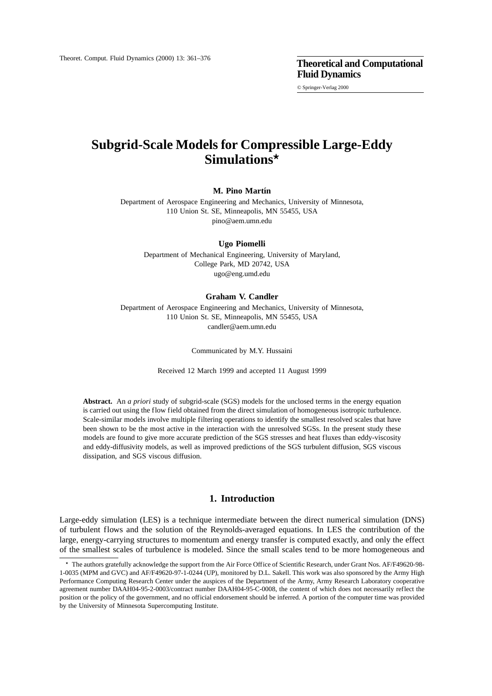© Springer-Verlag 2000

# **Subgrid-Scale Models for Compressible Large-Eddy Simulations***?*

**M. Pino Martín** 

Department of Aerospace Engineering and Mechanics, University of Minnesota, 110 Union St. SE, Minneapolis, MN 55455, USA pino@aem.umn.edu

### **Ugo Piomelli**

Department of Mechanical Engineering, University of Maryland, College Park, MD 20742, USA ugo@eng.umd.edu

#### **Graham V. Candler**

Department of Aerospace Engineering and Mechanics, University of Minnesota, 110 Union St. SE, Minneapolis, MN 55455, USA candler@aem.umn.edu

Communicated by M.Y. Hussaini

Received 12 March 1999 and accepted 11 August 1999

**Abstract.** An *a priori* study of subgrid-scale (SGS) models for the unclosed terms in the energy equation is carried out using the flow field obtained from the direct simulation of homogeneous isotropic turbulence. Scale-similar models involve multiple filtering operations to identify the smallest resolved scales that have been shown to be the most active in the interaction with the unresolved SGSs. In the present study these models are found to give more accurate prediction of the SGS stresses and heat fluxes than eddy-viscosity and eddy-diffusivity models, as well as improved predictions of the SGS turbulent diffusion, SGS viscous dissipation, and SGS viscous diffusion.

# **1. Introduction**

Large-eddy simulation (LES) is a technique intermediate between the direct numerical simulation (DNS) of turbulent flows and the solution of the Reynolds-averaged equations. In LES the contribution of the large, energy-carrying structures to momentum and energy transfer is computed exactly, and only the effect of the smallest scales of turbulence is modeled. Since the small scales tend to be more homogeneous and

<sup>?</sup> The authors gratefully acknowledge the support from the Air Force Office of Scientific Research, under Grant Nos. AF/F49620-98- 1-0035 (MPM and GVC) and AF/F49620-97-1-0244 (UP), monitored by D.L. Sakell. This work was also sponsored by the Army High Performance Computing Research Center under the auspices of the Department of the Army, Army Research Laboratory cooperative agreement number DAAH04-95-2-0003/contract number DAAH04-95-C-0008, the content of which does not necessarily reflect the position or the policy of the government, and no official endorsement should be inferred. A portion of the computer time was provided by the University of Minnesota Supercomputing Institute.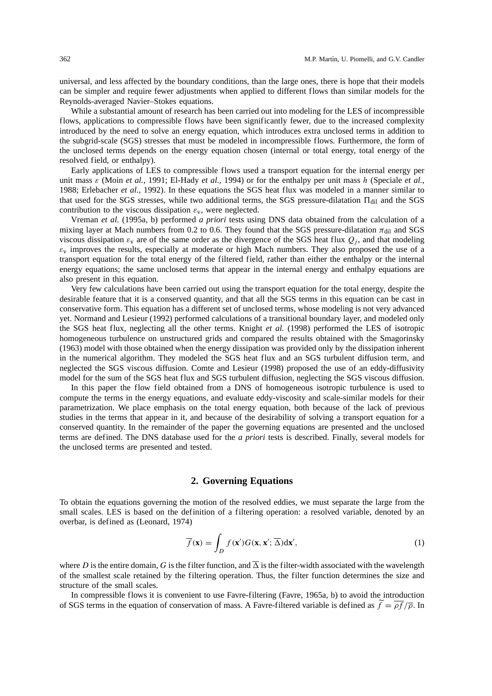universal, and less affected by the boundary conditions, than the large ones, there is hope that their models can be simpler and require fewer adjustments when applied to different flows than similar models for the Reynolds-averaged Navier–Stokes equations.

While a substantial amount of research has been carried out into modeling for the LES of incompressible flows, applications to compressible flows have been significantly fewer, due to the increased complexity introduced by the need to solve an energy equation, which introduces extra unclosed terms in addition to the subgrid-scale (SGS) stresses that must be modeled in incompressible flows. Furthermore, the form of the unclosed terms depends on the energy equation chosen (internal or total energy, total energy of the resolved field, or enthalpy).

Early applications of LES to compressible flows used a transport equation for the internal energy per unit mass ε (Moin *et al.*, 1991; El-Hady *et al.*, 1994) or for the enthalpy per unit mass h (Speciale *et al.*, 1988; Erlebacher *et al.*, 1992). In these equations the SGS heat flux was modeled in a manner similar to that used for the SGS stresses, while two additional terms, the SGS pressure-dilatation  $\Pi_{\text{dil}}$  and the SGS contribution to the viscous dissipation  $\varepsilon_v$ , were neglected.

Vreman *et al.* (1995a, b) performed *a priori* tests using DNS data obtained from the calculation of a mixing layer at Mach numbers from 0.2 to 0.6. They found that the SGS pressure-dilatation  $\pi_{\text{dil}}$  and SGS viscous dissipation  $\varepsilon_v$  are of the same order as the divergence of the SGS heat flux  $Q_j$ , and that modeling  $\varepsilon$ <sub>v</sub> improves the results, especially at moderate or high Mach numbers. They also proposed the use of a transport equation for the total energy of the filtered field, rather than either the enthalpy or the internal energy equations; the same unclosed terms that appear in the internal energy and enthalpy equations are also present in this equation.

Very few calculations have been carried out using the transport equation for the total energy, despite the desirable feature that it is a conserved quantity, and that all the SGS terms in this equation can be cast in conservative form. This equation has a different set of unclosed terms, whose modeling is not very advanced yet. Normand and Lesieur (1992) performed calculations of a transitional boundary layer, and modeled only the SGS heat flux, neglecting all the other terms. Knight *et al.* (1998) performed the LES of isotropic homogeneous turbulence on unstructured grids and compared the results obtained with the Smagorinsky (1963) model with those obtained when the energy dissipation was provided only by the dissipation inherent in the numerical algorithm. They modeled the SGS heat flux and an SGS turbulent diffusion term, and neglected the SGS viscous diffusion. Comte and Lesieur (1998) proposed the use of an eddy-diffusivity model for the sum of the SGS heat flux and SGS turbulent diffusion, neglecting the SGS viscous diffusion.

In this paper the flow field obtained from a DNS of homogeneous isotropic turbulence is used to compute the terms in the energy equations, and evaluate eddy-viscosity and scale-similar models for their parametrization. We place emphasis on the total energy equation, both because of the lack of previous studies in the terms that appear in it, and because of the desirability of solving a transport equation for a conserved quantity. In the remainder of the paper the governing equations are presented and the unclosed terms are defined. The DNS database used for the *a priori* tests is described. Finally, several models for the unclosed terms are presented and tested.

#### **2. Governing Equations**

To obtain the equations governing the motion of the resolved eddies, we must separate the large from the small scales. LES is based on the definition of a filtering operation: a resolved variable, denoted by an overbar, is defined as (Leonard, 1974)

$$
\overline{f}(\mathbf{x}) = \int_{D} f(\mathbf{x}') G(\mathbf{x}, \mathbf{x}'; \overline{\Delta}) d\mathbf{x}', \tag{1}
$$

where D is the entire domain, G is the filter function, and  $\overline{\Delta}$  is the filter-width associated with the wavelength of the smallest scale retained by the filtering operation. Thus, the filter function determines the size and structure of the small scales.

In compressible flows it is convenient to use Favre-filtering (Favre, 1965a, b) to avoid the introduction of SGS terms in the equation of conservation of mass. A Favre-filtered variable is defined as  $f = \rho f / \overline{\rho}$ . In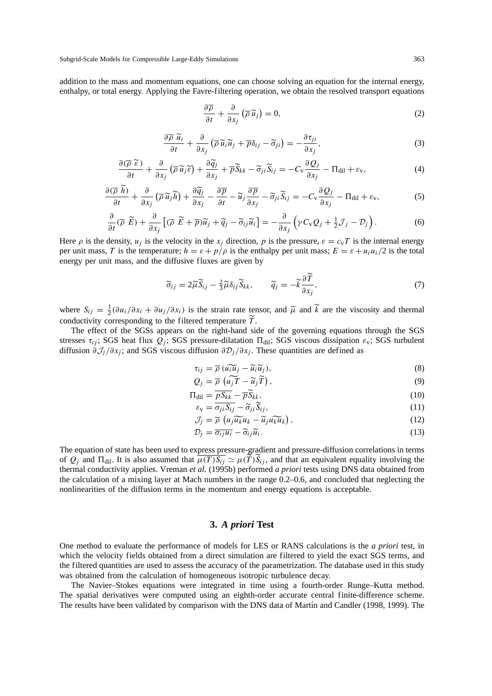Subgrid-Scale Models for Compressible Large-Eddy Simulations 363

addition to the mass and momentum equations, one can choose solving an equation for the internal energy, enthalpy, or total energy. Applying the Favre-filtering operation, we obtain the resolved transport equations

$$
\frac{\partial \overline{\rho}}{\partial t} + \frac{\partial}{\partial x_j} (\overline{\rho} \, \widetilde{u}_j) = 0, \tag{2}
$$

$$
\frac{\partial \overline{\rho}}{\partial t} \tilde{u}_i + \frac{\partial}{\partial x_j} \left( \overline{\rho} \, \widetilde{u}_i \widetilde{u}_j + \overline{\rho} \delta_{ij} - \widetilde{\sigma}_{ji} \right) = -\frac{\partial \tau_{ji}}{\partial x_j},\tag{3}
$$

$$
\frac{\partial(\overline{\rho}\ \widetilde{\epsilon})}{\partial t} + \frac{\partial}{\partial x_j} \left( \overline{\rho}\ \widetilde{u}_j \widetilde{\epsilon} \right) + \frac{\partial \widetilde{q}_j}{\partial x_j} + \overline{\rho}\widetilde{S}_{kk} - \widetilde{\sigma}_{ji}\widetilde{S}_{ij} = -C_v \frac{\partial Q_j}{\partial x_j} - \Pi_{\text{dil}} + \varepsilon_v,\tag{4}
$$

$$
\frac{\partial(\overline{\rho} \; \widetilde{h})}{\partial t} + \frac{\partial}{\partial x_j} \left( \overline{\rho} \; \widetilde{u}_j \widetilde{h} \right) + \frac{\partial \widetilde{q}_j}{\partial x_j} - \frac{\partial \overline{p}}{\partial t} - \widetilde{u}_j \frac{\partial \overline{p}}{\partial x_j} - \widetilde{\sigma}_{ji} \widetilde{S}_{ij} = -C_v \frac{\partial Q_j}{\partial x_j} - \Pi_{\text{dil}} + \varepsilon_v, \tag{5}
$$

$$
\frac{\partial}{\partial t}(\overline{\rho}\ \widetilde{E}) + \frac{\partial}{\partial x_j}\left[ (\overline{\rho}\ \widetilde{E} + \overline{\rho})\widetilde{u}_j + \widetilde{q}_j - \widetilde{\sigma}_{ij}\widetilde{u}_i \right] = -\frac{\partial}{\partial x_j}\left( \gamma C_v Q_j + \frac{1}{2}\mathcal{J}_j - \mathcal{D}_j \right). \tag{6}
$$

Here  $\rho$  is the density,  $u_i$  is the velocity in the  $x_i$  direction, p is the pressure,  $\varepsilon = c_vT$  is the internal energy per unit mass, T is the temperature;  $h = \varepsilon + p/\rho$  is the enthalpy per unit mass;  $E = \varepsilon + u_i u_i/2$  is the total energy per unit mass, and the diffusive fluxes are given by

$$
\widetilde{\sigma}_{ij} = 2\widetilde{\mu}\widetilde{S}_{ij} - \frac{2}{3}\widetilde{\mu}\delta_{ij}\widetilde{S}_{kk}, \qquad \widetilde{q}_j = -\widetilde{k}\frac{\partial T}{\partial x_j},\tag{7}
$$

where  $S_{ij} = \frac{1}{2} (\partial u_i / \partial x_i + \partial u_j / \partial x_i)$  is the strain rate tensor, and  $\tilde{\mu}$  and  $\tilde{k}$  are the viscosity and thermal conductivity corresponding to the filtered temperature  $\tilde{\tau}$ conductivity corresponding to the filtered temperature  $T$ .<br>The effect of the SGSs appears on the right hand site

The effect of the SGSs appears on the right-hand side of the governing equations through the SGS stresses  $\tau_{ii}$ ; SGS heat flux  $Q_i$ ; SGS pressure-dilatation  $\Pi_{\text{dil}}$ ; SGS viscous dissipation  $\varepsilon_v$ ; SGS turbulent diffusion  $\partial \mathcal{J}_j / \partial x_j$ ; and SGS viscous diffusion  $\partial \mathcal{D}_j / \partial x_j$ . These quantities are defined as

$$
\tau_{ij} = \overline{\rho} \left( u_i \overline{u}_j - \widetilde{u}_i \widetilde{u}_j \right),\tag{8}
$$

$$
Q_j = \overline{\rho} \left( \widetilde{u_j} \widetilde{T} - \widetilde{u}_j \widetilde{T} \right), \tag{9}
$$

$$
\Pi_{\text{dil}} = \underbrace{\overline{pS_{kk}}}_{\text{max}} - \underbrace{\overline{p}\overline{S}_{kk}}_{\text{max}},\tag{10}
$$

$$
\varepsilon_{\mathbf{v}} = \sigma_{ji} S_{ij} - \widetilde{\sigma}_{ji} S_{ij},\tag{11}
$$
\n
$$
\sigma_{\mathbf{v}} = (\sqrt{\widetilde{\sigma}_{ij}} - \widetilde{\sigma}_{ji})
$$

$$
\mathcal{J}_j = \overline{\rho} \left( u_j \widetilde{u_k} u_k - \widetilde{u}_j u_k \widetilde{u_k} \right),\tag{12}
$$

$$
\mathcal{D}_j = \overline{\sigma_{ij} u_i} - \widetilde{\sigma}_{ij} \widetilde{u}_i. \tag{13}
$$

The equation of state has been used to express pressure-gradient and pressure-diffusion correlations in terms of  $Q_i$  and  $\Pi_{\text{dil}}$ . It is also assumed that  $\overline{\mu(T)S_{ij}} \simeq \mu(\tilde{T})\tilde{S}_{ij}$ , and that an equivalent equality involving the thermal conductivity applies. Vreman *et al.* (1995b) performed *a priori* tests using DNS data obtained from the calculation of a mixing layer at Mach numbers in the range 0.2–0.6, and concluded that neglecting the nonlinearities of the diffusion terms in the momentum and energy equations is acceptable.

# **3.** *A priori* **Test**

One method to evaluate the performance of models for LES or RANS calculations is the *a priori* test, in which the velocity fields obtained from a direct simulation are filtered to yield the exact SGS terms, and the filtered quantities are used to assess the accuracy of the parametrization. The database used in this study was obtained from the calculation of homogeneous isotropic turbulence decay.

The Navier–Stokes equations were integrated in time using a fourth-order Runge–Kutta method. The spatial derivatives were computed using an eighth-order accurate central finite-difference scheme. The results have been validated by comparison with the DNS data of Martín and Candler (1998, 1999). The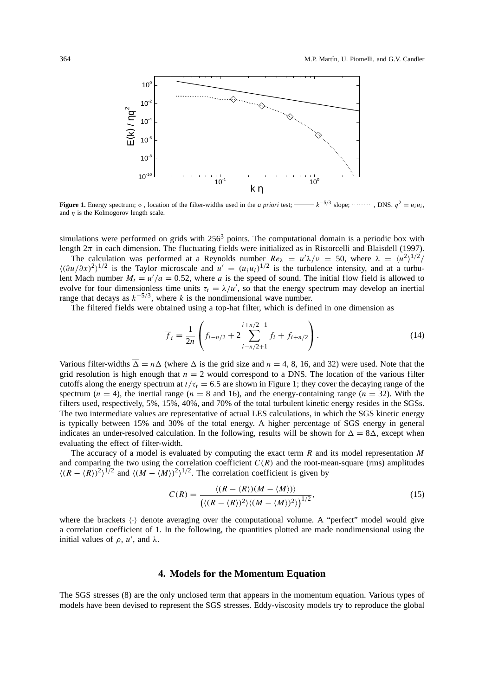

**Figure 1.** Energy spectrum;  $\diamond$ , location of the filter-widths used in the *a priori* test; ——  $k^{-5/3}$  slope;  $\cdots \cdots$ , DNS.  $q^2 = u_i u_i$ , and  $\eta$  is the Kolmogorov length scale.

simulations were performed on grids with  $256<sup>3</sup>$  points. The computational domain is a periodic box with length  $2\pi$  in each dimension. The fluctuating fields were initialized as in Ristorcelli and Blaisdell (1997).

The calculation was performed at a Reynolds number  $Re_{\lambda} = u' \lambda / v = 50$ , where  $\lambda = \langle u^2 \rangle^{1/2} /$  $\langle (\partial u/\partial x)^2 \rangle^{1/2}$  is the Taylor microscale and  $u' = (u_i u_i)^{1/2}$  is the turbulence intensity, and at a turbulent Mach number  $M_t = u'/a = 0.52$ , where a is the speed of sound. The initial flow field is allowed to evolve for four dimensionless time units  $\tau_t = \lambda/u'$ , so that the energy spectrum may develop an inertial range that decays as  $k^{-5/3}$ , where k is the nondimensional wave number.

The filtered fields were obtained using a top-hat filter, which is defined in one dimension as

$$
\overline{f}_i = \frac{1}{2n} \left( f_{i-n/2} + 2 \sum_{i-n/2+1}^{i+n/2-1} f_i + f_{i+n/2} \right). \tag{14}
$$

Various filter-widths  $\overline{\Delta} = n\Delta$  (where  $\Delta$  is the grid size and  $n = 4, 8, 16,$  and 32) were used. Note that the grid resolution is high enough that  $n = 2$  would correspond to a DNS. The location of the various filter cutoffs along the energy spectrum at  $t/\tau_t = 6.5$  are shown in Figure 1; they cover the decaying range of the spectrum ( $n = 4$ ), the inertial range ( $n = 8$  and 16), and the energy-containing range ( $n = 32$ ). With the filters used, respectively, 5%, 15%, 40%, and 70% of the total turbulent kinetic energy resides in the SGSs. The two intermediate values are representative of actual LES calculations, in which the SGS kinetic energy is typically between 15% and 30% of the total energy. A higher percentage of SGS energy in general indicates an under-resolved calculation. In the following, results will be shown for  $\overline{\Delta} = 8\Delta$ , except when evaluating the effect of filter-width.

The accuracy of a model is evaluated by computing the exact term  $R$  and its model representation  $M$ and comparing the two using the correlation coefficient  $C(R)$  and the root-mean-square (rms) amplitudes  $\langle (R - \langle R \rangle)^2 \rangle^{1/2}$  and  $\langle (M - \langle M \rangle)^2 \rangle^{1/2}$ . The correlation coefficient is given by

$$
C(R) = \frac{\langle (R - \langle R \rangle)(M - \langle M \rangle)\rangle}{\left(\langle (R - \langle R \rangle)^2 \rangle \langle (M - \langle M \rangle)^2 \rangle\right)^{1/2}},\tag{15}
$$

where the brackets  $\langle \cdot \rangle$  denote averaging over the computational volume. A "perfect" model would give a correlation coefficient of 1. In the following, the quantities plotted are made nondimensional using the initial values of  $\rho$ ,  $u'$ , and  $\lambda$ .

### **4. Models for the Momentum Equation**

The SGS stresses (8) are the only unclosed term that appears in the momentum equation. Various types of models have been devised to represent the SGS stresses. Eddy-viscosity models try to reproduce the global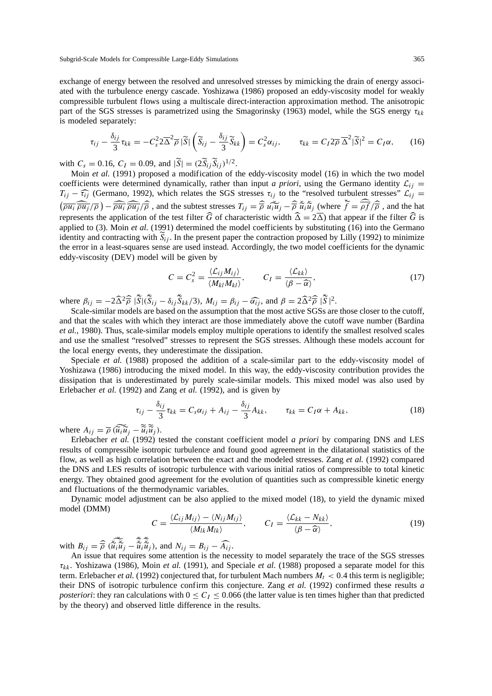Subgrid-Scale Models for Compressible Large-Eddy Simulations 365

exchange of energy between the resolved and unresolved stresses by mimicking the drain of energy associated with the turbulence energy cascade. Yoshizawa (1986) proposed an eddy-viscosity model for weakly compressible turbulent flows using a multiscale direct-interaction approximation method. The anisotropic part of the SGS stresses is parametrized using the Smagorinsky (1963) model, while the SGS energy  $\tau_{kk}$ is modeled separately:

$$
\tau_{ij} - \frac{\delta_{ij}}{3} \tau_{kk} = -C_s^2 2 \overline{\Delta}^2 \overline{\rho} |\widetilde{S}| \left( \widetilde{S}_{ij} - \frac{\delta_{ij}}{3} \widetilde{S}_{kk} \right) = C_s^2 \alpha_{ij}, \qquad \tau_{kk} = C_I 2 \overline{\rho} \overline{\Delta}^2 |\widetilde{S}|^2 = C_I \alpha, \qquad (16)
$$

with  $C_s = 0.16$ ,  $C_I = 0.09$ , and  $|\tilde{S}| = (2\tilde{S}_{ii}\tilde{S}_{ii})^{1/2}$ .

Moin *et al.* (1991) proposed a modification of the eddy-viscosity model (16) in which the two model coefficients were determined dynamically, rather than input *a priori*, using the Germano identity  $\mathcal{L}_{ij} = T_{ij} - \hat{\tau}_{ij}$  (Germano, 1992), which relates the SGS stresses  $\tau_{ij}$  to the "resolved turbulent stresses"  $\mathcal{$  $T_{ij} - \widehat{\tau}_{ij}$  (Germano, 1992), which relates the SGS stresses  $\tau_{ij}$  to the "resolved turbulent stresses"  $\mathcal{L}_{ij} = (\overline{\rho u_i} \overline{\rho u_j}/\overline{\rho}) - \overline{\rho u_i} \overline{\rho u_j}/\overline{\rho}$ , and the subtest stresses  $T_{ij} = \widehat{\rho} \overline{u_i u_j} - \widehat{\rho} \$ represents the application of the test filter  $\widehat{G}$  of characteristic width  $\widehat{\Delta} = 2\overline{\Delta}$ ) that appear if the filter  $\widehat{G}$  is applied to (3). Moin *et al.* (1991) determined the model coefficients by substituting (16) into the Germano identity and contracting with  $\tilde{S}_{ij}$ . In the present paper the contraction proposed by Lilly (1992) to minimize the error in a least-squares sense are used instead. Accordingly, the two model coefficients for the dynamic eddy-viscosity (DEV) model will be given by

$$
C = C_s^2 = \frac{\langle \mathcal{L}_{ij} M_{ij} \rangle}{\langle M_{kl} M_{kl} \rangle}, \qquad C_I = \frac{\langle \mathcal{L}_{kk} \rangle}{\langle \beta - \widehat{\alpha} \rangle}, \tag{17}
$$

where  $\beta_{ij} = -2\hat{\Delta}^2 \hat{\overline{\rho}} |\tilde{S}| (\tilde{S}_{ij} - \delta_{ij} \tilde{S}_{kk}/3)$ ,  $M_{ij} = \beta_{ij} - \hat{\alpha_{ij}}$ , and  $\beta = 2\hat{\Delta}^2 \hat{\overline{\rho}} |\tilde{S}|^2$ .<br>Scale-similar models are based on the assumption that the most active SGSs are

Scale-similar models are based on the assumption that the most active SGSs are those closer to the cutoff, and that the scales with which they interact are those immediately above the cutoff wave number (Bardina *et al.*, 1980). Thus, scale-similar models employ multiple operations to identify the smallest resolved scales and use the smallest "resolved" stresses to represent the SGS stresses. Although these models account for the local energy events, they underestimate the dissipation.

Speciale *et al.* (1988) proposed the addition of a scale-similar part to the eddy-viscosity model of Yoshizawa (1986) introducing the mixed model. In this way, the eddy-viscosity contribution provides the dissipation that is underestimated by purely scale-similar models. This mixed model was also used by Erlebacher *et al.* (1992) and Zang *et al.* (1992), and is given by

$$
\tau_{ij} - \frac{\delta_{ij}}{3} \tau_{kk} = C_s \alpha_{ij} + A_{ij} - \frac{\delta_{ij}}{3} A_{kk}, \qquad \tau_{kk} = C_I \alpha + A_{kk}, \qquad (18)
$$

where  $A_{ij} = \overline{\rho} (\widetilde{u}_i \widetilde{u}_j - \widetilde{u}_i \widetilde{u}_j)$ .<br>Friebacher *et al.* (1992) to

Erlebacher *et al.* (1992) tested the constant coefficient model *a priori* by comparing DNS and LES results of compressible isotropic turbulence and found good agreement in the dilatational statistics of the flow, as well as high correlation between the exact and the modeled stresses. Zang *et al.* (1992) compared the DNS and LES results of isotropic turbulence with various initial ratios of compressible to total kinetic energy. They obtained good agreement for the evolution of quantities such as compressible kinetic energy and fluctuations of the thermodynamic variables.

Dynamic model adjustment can be also applied to the mixed model (18), to yield the dynamic mixed model (DMM)

$$
C = \frac{\langle \mathcal{L}_{ij} M_{ij} \rangle - \langle N_{ij} M_{ij} \rangle}{\langle M_{lk} M_{lk} \rangle}, \qquad C_I = \frac{\langle \mathcal{L}_{kk} - N_{kk} \rangle}{\langle \beta - \widehat{\alpha} \rangle}, \tag{19}
$$

with  $B_{ij} = \widehat{\overline{\rho}} \; (\widetilde{\tilde{u}_i \tilde{u}_j} - \widetilde{\tilde{u}_i \tilde{u}_j})$ , and  $N_{ij} = B_{ij} - \widehat{A_{ij}}$ .<br>An issue that requires some attention is the nec

An issue that requires some attention is the necessity to model separately the trace of the SGS stresses  $\tau_{kk}$ . Yoshizawa (1986), Moin *et al.* (1991), and Speciale *et al.* (1988) proposed a separate model for this term. Erlebacher *et al.* (1992) conjectured that, for turbulent Mach numbers  $M_t < 0.4$  this term is negligible; their DNS of isotropic turbulence confirm this conjecture. Zang *et al.* (1992) confirmed these results *a posteriori*: they ran calculations with  $0 \le C_I \le 0.066$  (the latter value is ten times higher than that predicted by the theory) and observed little difference in the results.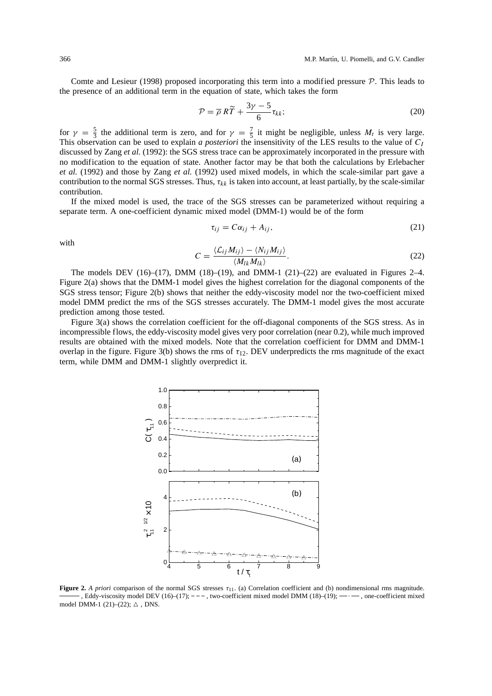Comte and Lesieur (1998) proposed incorporating this term into a modified pressure  $P$ . This leads to the presence of an additional term in the equation of state, which takes the form

$$
\mathcal{P} = \overline{\rho} R\widetilde{T} + \frac{3\gamma - 5}{6} \tau_{kk};\tag{20}
$$

for  $\gamma = \frac{5}{3}$  the additional term is zero, and for  $\gamma = \frac{7}{5}$  it might be negligible, unless  $M_t$  is very large. This observation can be used to explain *a posteriori* the insensitivity of the LES results to the value of  $C_I$ discussed by Zang *et al.* (1992): the SGS stress trace can be approximately incorporated in the pressure with no modification to the equation of state. Another factor may be that both the calculations by Erlebacher *et al.* (1992) and those by Zang *et al.* (1992) used mixed models, in which the scale-similar part gave a contribution to the normal SGS stresses. Thus,  $\tau_{kk}$  is taken into account, at least partially, by the scale-similar contribution.

If the mixed model is used, the trace of the SGS stresses can be parameterized without requiring a separate term. A one-coefficient dynamic mixed model (DMM-1) would be of the form

$$
\tau_{ij} = C\alpha_{ij} + A_{ij},\tag{21}
$$

with

$$
C = \frac{\langle \mathcal{L}_{ij} M_{ij} \rangle - \langle N_{ij} M_{ij} \rangle}{\langle M_{lk} M_{lk} \rangle}.
$$
 (22)

The models DEV  $(16)$ – $(17)$ , DMM  $(18)$ – $(19)$ , and DMM-1  $(21)$ – $(22)$  are evaluated in Figures 2–4. Figure 2(a) shows that the DMM-1 model gives the highest correlation for the diagonal components of the SGS stress tensor; Figure 2(b) shows that neither the eddy-viscosity model nor the two-coefficient mixed model DMM predict the rms of the SGS stresses accurately. The DMM-1 model gives the most accurate prediction among those tested.

Figure 3(a) shows the correlation coefficient for the off-diagonal components of the SGS stress. As in incompressible flows, the eddy-viscosity model gives very poor correlation (near 0.2), while much improved results are obtained with the mixed models. Note that the correlation coefficient for DMM and DMM-1 overlap in the figure. Figure 3(b) shows the rms of  $\tau_{12}$ . DEV underpredicts the rms magnitude of the exact term, while DMM and DMM-1 slightly overpredict it.



**Figure 2.** *A priori* comparison of the normal SGS stresses τ<sub>11</sub>. (a) Correlation coefficient and (b) nondimensional rms magnitude. , Eddy-viscosity model DEV (16)–(17);  $-$  -  $-$ , two-coefficient mixed model DMM (18)–(19);  $\cdot$   $-$ , one-coefficient mixed model DMM-1 (21)–(22);  $\triangle$ , DNS.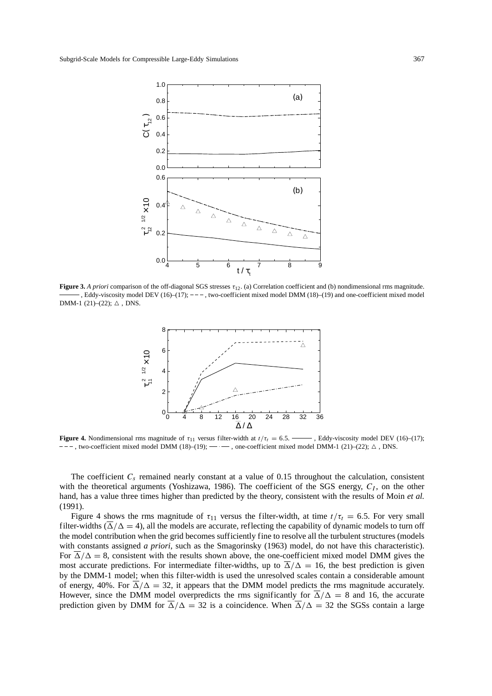

**Figure 3.** *A priori* comparison of the off-diagonal SGS stresses  $\tau_{12}$ . (a) Correlation coefficient and (b) nondimensional rms magnitude. , Eddy-viscosity model DEV  $(16)$ – $(17)$ ;  $---$ , two-coefficient mixed model DMM  $(18)$ – $(19)$  and one-coefficient mixed model DMM-1 (21)–(22);  $\triangle$ , DNS.



**Figure 4.** Nondimensional rms magnitude of  $\tau_{11}$  versus filter-width at  $t/\tau_t = 6.5$ . Seldy-viscosity model DEV (16)–(17);  $---$ , two-coefficient mixed model DMM (18)–(19);  $---$ , one-coefficient mixed model DMM-1 (21)–(22);  $\Delta$ , DNS.

The coefficient  $C_s$  remained nearly constant at a value of 0.15 throughout the calculation, consistent with the theoretical arguments (Yoshizawa, 1986). The coefficient of the SGS energy,  $C_I$ , on the other hand, has a value three times higher than predicted by the theory, consistent with the results of Moin *et al.* (1991).

Figure 4 shows the rms magnitude of  $\tau_{11}$  versus the filter-width, at time  $t/\tau_t = 6.5$ . For very small filter-widths  $(\overline{\Delta}/\Delta = 4)$ , all the models are accurate, reflecting the capability of dynamic models to turn off the model contribution when the grid becomes sufficiently fine to resolve all the turbulent structures (models with constants assigned *a priori*, such as the Smagorinsky (1963) model, do not have this characteristic). For  $\overline{\Delta}/\Delta = 8$ , consistent with the results shown above, the one-coefficient mixed model DMM gives the most accurate predictions. For intermediate filter-widths, up to  $\overline{\Delta}/\Delta = 16$ , the best prediction is given by the DMM-1 model; when this filter-width is used the unresolved scales contain a considerable amount of energy, 40%. For  $\overline{\Delta}/\Delta = 32$ , it appears that the DMM model predicts the rms magnitude accurately. However, since the DMM model overpredicts the rms significantly for  $\Delta/\Delta = 8$  and 16, the accurate prediction given by DMM for  $\Delta/\Delta = 32$  is a coincidence. When  $\Delta/\Delta = 32$  the SGSs contain a large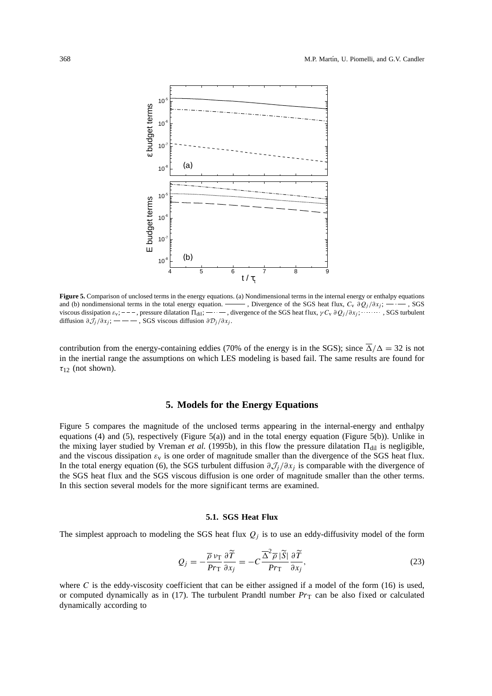

**Figure 5.** Comparison of unclosed terms in the energy equations. (a) Nondimensional terms in the internal energy or enthalpy equations and (b) nondimensional terms in the total energy equation.  $\frac{1}{1-\epsilon}$ , Divergence of the SGS heat flux,  $C_v \frac{\partial Q_j}{\partial x_j}$ ;  $\frac{1}{1-\epsilon}$ , SGS viscous dissipation  $ε_v$ ; - - -, pressure dilatation  $\Pi_{\text{dil}}$ ; - · - -, divergence of the SGS heat flux,  $γC_v ∂Q_j/∂x_j$ ; · · · · · · SGS turbulent diffusion  $\partial \mathcal{J}_j / \partial x_j$ ; — — , SGS viscous diffusion  $\partial \mathcal{D}_j / \partial x_j$ .

contribution from the energy-containing eddies (70% of the energy is in the SGS); since  $\overline{\Delta}/\Delta = 32$  is not in the inertial range the assumptions on which LES modeling is based fail. The same results are found for  $\tau_{12}$  (not shown).

## **5. Models for the Energy Equations**

Figure 5 compares the magnitude of the unclosed terms appearing in the internal-energy and enthalpy equations (4) and (5), respectively (Figure 5(a)) and in the total energy equation (Figure 5(b)). Unlike in the mixing layer studied by Vreman *et al.* (1995b), in this flow the pressure dilatation  $\Pi_{\text{dil}}$  is negligible, and the viscous dissipation  $\varepsilon_v$  is one order of magnitude smaller than the divergence of the SGS heat flux. In the total energy equation (6), the SGS turbulent diffusion  $\partial \mathcal{J}_i/\partial x_i$  is comparable with the divergence of the SGS heat flux and the SGS viscous diffusion is one order of magnitude smaller than the other terms. In this section several models for the more significant terms are examined.

#### **5.1. SGS Heat Flux**

The simplest approach to modeling the SGS heat flux  $Q_j$  is to use an eddy-diffusivity model of the form

$$
Q_j = -\frac{\overline{\rho} \nu_{\rm T}}{Pr_{\rm T}} \frac{\partial \widetilde{T}}{\partial x_j} = -C \frac{\overline{\Delta}^2 \overline{\rho} |\widetilde{S}|}{Pr_{\rm T}} \frac{\partial \widetilde{T}}{\partial x_j},\tag{23}
$$

where C is the eddy-viscosity coefficient that can be either assigned if a model of the form (16) is used, or computed dynamically as in  $(17)$ . The turbulent Prandtl number  $Pr<sub>T</sub>$  can be also fixed or calculated dynamically according to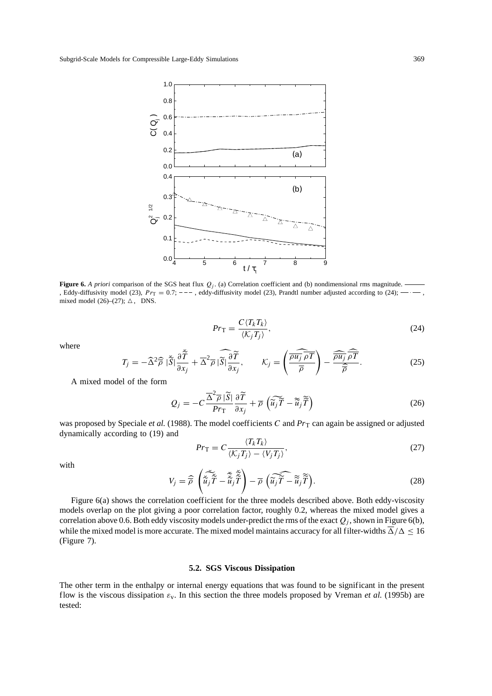

**Figure 6.** *A priori* comparison of the SGS heat flux  $Q_i$ . (a) Correlation coefficient and (b) nondimensional rms magnitude. , Eddy-diffusivity model (23),  $Pr_T = 0.7$ ;  $---$ , eddy-diffusivity model (23), Prandtl number adjusted according to (24);  $---$ , mixed model (26)–(27);  $\triangle$ , DNS.

$$
Pr_{\mathcal{T}} = \frac{C \langle T_k T_k \rangle}{\langle K_j T_j \rangle},\tag{24}
$$

where

$$
T_j = -\widehat{\Delta}^2 \widehat{\overline{\rho}} \, |\widetilde{\overline{S}}| \frac{\partial \widetilde{\overline{T}}}{\partial x_j} + \overline{\Delta}^2 \overline{\rho} \, |\widetilde{\overline{S}}| \frac{\partial \widetilde{\overline{T}}}{\partial x_j}, \qquad \mathcal{K}_j = \left(\frac{\widehat{\overline{\rho u_j} \, \rho T}}{\overline{\rho}}\right) - \frac{\widehat{\overline{\rho u_j} \, \rho T}}{\widehat{\overline{\rho}}}.
$$

A mixed model of the form

$$
Q_j = -C \frac{\overline{\Delta}^2 \overline{\rho} |\widetilde{S}|}{Pr_{\mathcal{T}}} \frac{\partial \widetilde{T}}{\partial x_j} + \overline{\rho} \left( \widetilde{u_j} \widetilde{T} - \widetilde{u}_j \widetilde{\widetilde{T}} \right)
$$
(26)

was proposed by Speciale et al. (1988). The model coefficients C and  $Pr<sub>T</sub>$  can again be assigned or adjusted dynamically according to (19) and

$$
Pr_{\mathcal{T}} = C \frac{\langle T_k T_k \rangle}{\langle K_j T_j \rangle - \langle V_j T_j \rangle},\tag{27}
$$

with

$$
V_j = \widehat{\overline{\rho}} \left( \widetilde{\widetilde{u}_j \widetilde{T}} - \widetilde{\widetilde{u}_j \widetilde{T}} \right) - \overline{\rho} \left( \widetilde{\widetilde{u}_j \widetilde{T}} - \widetilde{\widetilde{u}_j \widetilde{T}} \right). \tag{28}
$$

Figure 6(a) shows the correlation coefficient for the three models described above. Both eddy-viscosity models overlap on the plot giving a poor correlation factor, roughly 0.2, whereas the mixed model gives a correlation above 0.6. Both eddy viscosity models under-predict the rms of the exact  $Q_j$ , shown in Figure 6(b), while the mixed model is more accurate. The mixed model maintains accuracy for all filter-widths  $\overline{\Delta}/\Delta \leq 16$ (Figure 7).

#### **5.2. SGS Viscous Dissipation**

The other term in the enthalpy or internal energy equations that was found to be significant in the present flow is the viscous dissipation εv. In this section the three models proposed by Vreman *et al.* (1995b) are tested: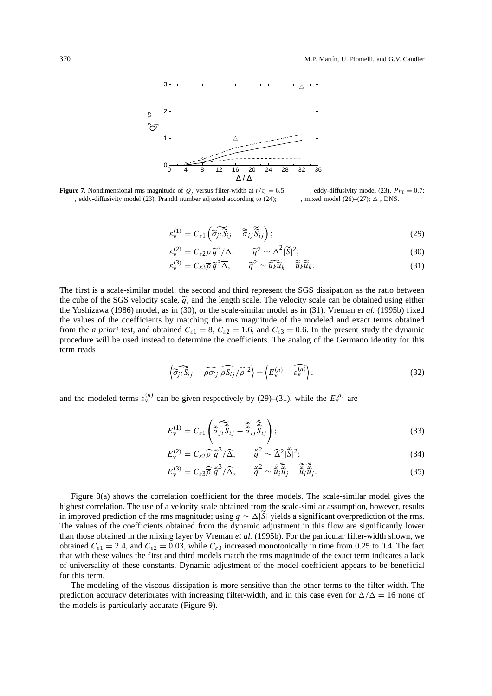

**Figure 7.** Nondimensional rms magnitude of  $Q_i$  versus filter-width at  $t/\tau_i = 6.5$ .  $\rightarrow$ , eddy-diffusivity model (23),  $Pr_T = 0.7$ ;  $---$ , eddy-diffusivity model (23), Prandtl number adjusted according to (24); — . mixed model (26)–(27);  $\triangle$ , DNS.

$$
\varepsilon_{\mathbf{v}}^{(1)} = C_{\varepsilon 1} \left( \widetilde{\sigma}_{ji} \widetilde{S}_{ij} - \widetilde{\sigma}_{ij} \widetilde{S}_{ij} \right); \tag{29}
$$

$$
\varepsilon_{\mathbf{v}}^{(2)} = C_{\varepsilon 2} \overline{\rho} \, \widetilde{q}^3 / \overline{\Delta}, \qquad \widetilde{q}^2 \sim \overline{\Delta}^2 |\widetilde{S}|^2; \n(30)
$$
\n
$$
\overline{q}^2 \sim \overline{\Delta}^2 |\widetilde{S}|^2; \n(31)
$$

$$
\varepsilon_{\mathbf{v}}^{(3)} = C_{\varepsilon 3} \overline{\rho} \, \widetilde{q}^3 \overline{\Delta}, \qquad \widetilde{q}^2 \sim \widetilde{u_k} \widetilde{u}_k - \widetilde{u}_k \widetilde{u}_k. \tag{31}
$$

The first is a scale-similar model; the second and third represent the SGS dissipation as the ratio between the cube of the SGS velocity scale,  $\tilde{q}$ , and the length scale. The velocity scale can be obtained using either the Yoshizawa (1986) model, as in (30), or the scale-similar model as in (31). Vreman *et al.* (1995b) fixed the values of the coefficients by matching the rms magnitude of the modeled and exact terms obtained from the *a priori* test, and obtained  $C_{\varepsilon 1} = 8$ ,  $C_{\varepsilon 2} = 1.6$ , and  $C_{\varepsilon 3} = 0.6$ . In the present study the dynamic procedure will be used instead to determine the coefficients. The analog of the Germano identity for this term reads

$$
\left\langle \widehat{\sigma_{ji}} \widehat{S}_{ij} - \widehat{\rho \sigma_{ij}} \widehat{\rho S_{ij}} / \widehat{\rho}^2 \right\rangle = \left\langle E_{\rm v}^{(n)} - \widehat{\varepsilon_{\rm v}^{(n)}} \right\rangle, \tag{32}
$$

and the modeled terms  $\varepsilon_{v}^{(n)}$  can be given respectively by (29)–(31), while the  $E_{v}^{(n)}$  are

$$
E_{\mathbf{v}}^{(1)} = C_{\varepsilon 1} \left( \tilde{\tilde{\sigma}}_{ji} \tilde{\tilde{S}}_{ij} - \tilde{\tilde{\tilde{\sigma}}}_{ij} \tilde{\tilde{S}}_{ij} \right);
$$
\n(33)

$$
E_{\rm v}^{(2)} = C_{\varepsilon 2} \widehat{\overline{\rho}} \, \widetilde{q}^3 / \widehat{\Delta}, \qquad \widetilde{q}^2 \sim \widehat{\Delta}^2 | \widetilde{S} |^2; \qquad (34)
$$

$$
E_{\mathbf{v}}^{(3)} = C_{\varepsilon 3} \widehat{\overline{\rho}} \, \widetilde{\overline{q}}^3 / \widehat{\Delta}, \qquad \widetilde{\overline{q}}^2 \sim \widetilde{\overline{\widetilde{u}}_i \widetilde{\overline{u}}_j} - \widetilde{\overline{\widetilde{u}}_i \widetilde{\overline{u}}_j}.
$$

Figure 8(a) shows the correlation coefficient for the three models. The scale-similar model gives the highest correlation. The use of a velocity scale obtained from the scale-similar assumption, however, results in improved prediction of the rms magnitude; using  $q \sim \overline{\Delta}|\overline{S}|$  yields a significant overprediction of the rms. The values of the coefficients obtained from the dynamic adjustment in this flow are significantly lower than those obtained in the mixing layer by Vreman *et al.* (1995b). For the particular filter-width shown, we obtained  $C_{\epsilon 1} = 2.4$ , and  $C_{\epsilon 2} = 0.03$ , while  $C_{\epsilon 3}$  increased monotonically in time from 0.25 to 0.4. The fact that with these values the first and third models match the rms magnitude of the exact term indicates a lack of universality of these constants. Dynamic adjustment of the model coefficient appears to be beneficial for this term.

The modeling of the viscous dissipation is more sensitive than the other terms to the filter-width. The prediction accuracy deteriorates with increasing filter-width, and in this case even for  $\overline{\Delta}/\Delta = 16$  none of the models is particularly accurate (Figure 9).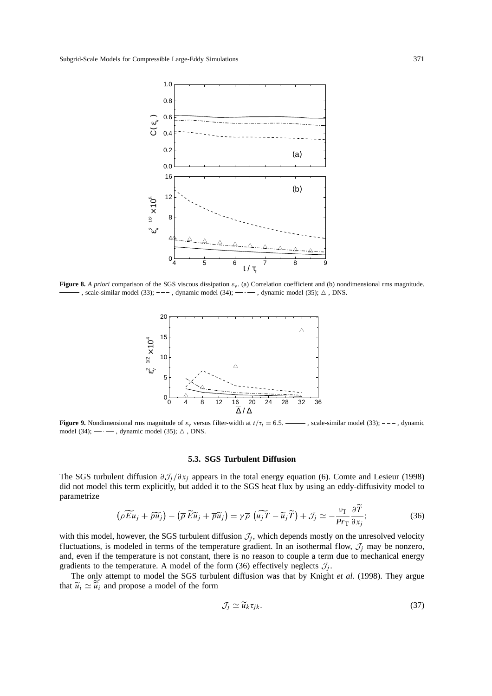

**Figure 8.** *A priori* comparison of the SGS viscous dissipation  $\varepsilon_v$ . (a) Correlation coefficient and (b) nondimensional rms magnitude. -, scale-similar model (33); ---, dynamic model (34);  $-\cdots$ , dynamic model (35);  $\triangle$ , DNS.



**Figure 9.** Nondimensional rms magnitude of  $\varepsilon_v$  versus filter-width at  $t/\tau_t = 6.5$ . scale-similar model (33); ---, dynamic model (34);  $-\cdot$ , dynamic model (35);  $\triangle$ , DNS.

#### **5.3. SGS Turbulent Diffusion**

The SGS turbulent diffusion  $\partial \mathcal{J}_j / \partial x_j$  appears in the total energy equation (6). Comte and Lesieur (1998) did not model this term explicitly, but added it to the SGS heat flux by using an eddy-diffusivity model to parametrize

$$
\left(\rho \widetilde{Eu}_j + \widetilde{\rho u_j}\right) - \left(\overline{\rho} \widetilde{Eu}_j + \overline{\rho} \widetilde{u}_j\right) = \gamma \overline{\rho} \left(\widetilde{u_j T} - \widetilde{u}_j \widetilde{T}\right) + \mathcal{J}_j \simeq -\frac{\nu_{\rm T}}{Pr_{\rm T}} \frac{\partial T}{\partial x_j};\tag{36}
$$

with this model, however, the SGS turbulent diffusion  $J_j$ , which depends mostly on the unresolved velocity fluctuations, is modeled in terms of the temperature gradient. In an isothermal flow,  $\mathcal{J}_j$  may be nonzero, and, even if the temperature is not constant, there is no reason to couple a term due to mechanical energy gradients to the temperature. A model of the form (36) effectively neglects  $\mathcal{J}_j$ .

The only attempt to model the SGS turbulent diffusion was that by Knight *et al.* (1998). They argue that  $\widetilde{u}_i \simeq \widetilde{u}_i$  and propose a model of the form

$$
\mathcal{J}_j \simeq \widetilde{u}_k \tau_{jk}.\tag{37}
$$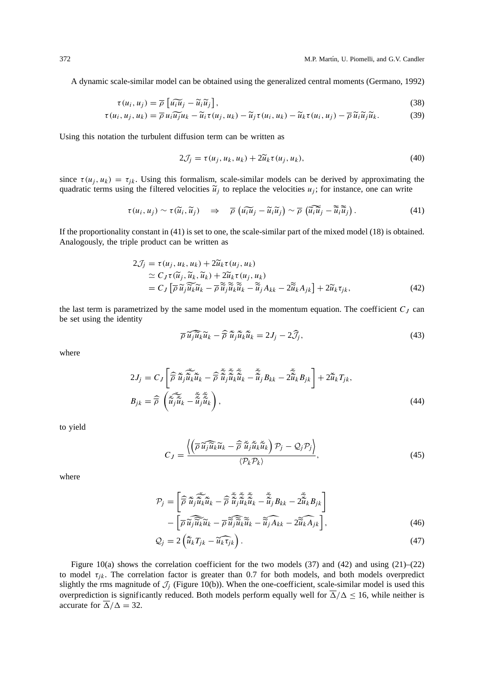A dynamic scale-similar model can be obtained using the generalized central moments (Germano, 1992)

$$
\tau(u_i, u_j) = \overline{\rho} \left[ \widetilde{u_i u_j} - \widetilde{u_i} \widetilde{u_j} \right],\tag{38}
$$
\n
$$
\widetilde{\sigma} \left( u_i, u_j \right) = \overline{\rho} \left[ \widetilde{u_i u_j} - \widetilde{u_i} \widetilde{u_j} \right],\tag{39}
$$

$$
\tau(u_i, u_j, u_k) = \overline{\rho} u_i \widetilde{u_j} u_k - \widetilde{u}_i \tau(u_j, u_k) - \widetilde{u}_j \tau(u_i, u_k) - \widetilde{u}_k \tau(u_i, u_j) - \overline{\rho} \widetilde{u}_i \widetilde{u}_j \widetilde{u}_k. \tag{39}
$$

Using this notation the turbulent diffusion term can be written as

$$
2\mathcal{J}_j = \tau(u_j, u_k, u_k) + 2\widetilde{u}_k \tau(u_j, u_k), \tag{40}
$$

since  $\tau(u_i, u_k) = \tau_{ik}$ . Using this formalism, scale-similar models can be derived by approximating the quadratic terms using the filtered velocities  $\tilde{u}_i$  to replace the velocities  $u_i$ ; for instance, one can write

$$
\tau(u_i, u_j) \sim \tau(\widetilde{u}_i, \widetilde{u}_j) \quad \Rightarrow \quad \overline{\rho}\left(\widetilde{u_i u}_j - \widetilde{u}_i \widetilde{u}_j\right) \sim \overline{\rho}\left(\widetilde{u_i u}_j - \widetilde{u}_i \widetilde{u}_j\right). \tag{41}
$$

If the proportionality constant in (41) is set to one, the scale-similar part of the mixed model (18) is obtained. Analogously, the triple product can be written as

$$
2\mathcal{J}_j = \tau(u_j, u_k, u_k) + 2\tilde{u}_k \tau(u_j, u_k)
$$
  
\n
$$
\simeq C_J \tau(\tilde{u}_j, \tilde{u}_k, \tilde{u}_k) + 2\tilde{u}_k \tau(u_j, u_k)
$$
  
\n
$$
= C_J \left[ \overline{\rho} \, \tilde{u}_j \tilde{u}_k \tilde{u}_k - \overline{\rho} \, \tilde{u}_j \tilde{u}_k \tilde{u}_k - \tilde{u}_j A_{kk} - 2\tilde{u}_k A_{jk} \right] + 2\tilde{u}_k \tau_{jk},
$$
\n(42)

the last term is parametrized by the same model used in the momentum equation. The coefficient  $C_J$  can be set using the identity

$$
\overline{\rho}\,\widetilde{u_j}\widetilde{u_k}\widetilde{u_k} - \widehat{\overline{\rho}}\,\widetilde{\tilde{u}}_j\widetilde{\tilde{u}}_k\widetilde{\tilde{u}}_k = 2J_j - 2\widehat{J}_j,\tag{43}
$$

where

$$
2J_j = C_J \left[ \widehat{\rho} \, \widetilde{\tilde{u}}_j \widetilde{\tilde{u}}_k \widetilde{\tilde{u}}_k - \widehat{\rho} \, \widetilde{\tilde{u}}_j \widetilde{\tilde{u}}_k \widetilde{\tilde{u}}_k - \widetilde{\tilde{u}}_j B_{kk} - 2 \widetilde{\tilde{u}}_k B_{jk} \right] + 2 \widetilde{\tilde{u}}_k T_{jk},
$$
  
\n
$$
B_{jk} = \widehat{\rho} \left( \widetilde{\tilde{u}}_j \widetilde{\tilde{u}}_k - \widetilde{\tilde{u}}_j \widetilde{\tilde{u}}_k \right),
$$
\n(44)

to yield

$$
C_J = \frac{\left\langle \left( \overline{\rho} \, \widehat{\widetilde{u}_j \widetilde{u}_k} \widetilde{u}_k - \overline{\widehat{\rho}} \, \widetilde{\widetilde{u}_j} \widetilde{\widetilde{u}_k} \widetilde{\widetilde{u}_k} \right) \mathcal{P}_j - \mathcal{Q}_j \mathcal{P}_j \right\rangle}{\langle \mathcal{P}_k \mathcal{P}_k \rangle},\tag{45}
$$

where

$$
\mathcal{P}_{j} = \left[ \widehat{\overline{\rho}} \, \widecheck{\widetilde{u}_{j}} \, \widecheck{\widetilde{u}_{k}} \widetilde{\widetilde{u}}_{k} - \widehat{\overline{\rho}} \, \widecheck{\widetilde{u}_{j}} \, \widecheck{\widetilde{u}}_{k} \, \widecheck{\widetilde{u}}_{k} - \widetilde{\widetilde{u}_{j}} B_{kk} - 2 \widetilde{\widetilde{u}}_{k} B_{jk} \right] \n- \left[ \overline{\rho} \, \widehat{\widetilde{u}_{j}} \, \widehat{\widetilde{u}_{k}} \widetilde{\widetilde{u}}_{k} - \overline{\rho} \, \widecheck{\widetilde{u}_{j}} \, \widehat{\widetilde{u}}_{k} \widetilde{\widetilde{u}}_{k} - \widetilde{\widetilde{u}_{j}} \, \widehat{A}_{kk} - 2 \widetilde{\widetilde{u}}_{k} \widehat{A}_{jk} \right],
$$
\n(46)

$$
Q_j = 2\left(\tilde{\tilde{u}}_k T_{jk} - \tilde{\tilde{u}}_k \tilde{\tau}_{jk}\right).
$$
\n(47)

Figure 10(a) shows the correlation coefficient for the two models  $(37)$  and  $(42)$  and using  $(21)–(22)$ to model  $\tau_{ik}$ . The correlation factor is greater than 0.7 for both models, and both models overpredict slightly the rms magnitude of  $J_i$  (Figure 10(b)). When the one-coefficient, scale-similar model is used this overprediction is significantly reduced. Both models perform equally well for  $\overline{\Delta}/\Delta \le 16$ , while neither is accurate for  $\overline{\Delta}/\Delta = 32$ .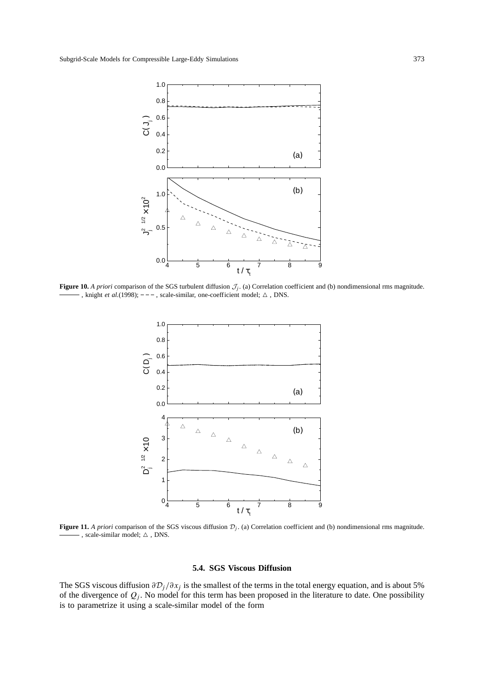

**Figure 10.** *A priori* comparison of the SGS turbulent diffusion  $\mathcal{J}_j$ . (a) Correlation coefficient and (b) nondimensional rms magnitude.  $-$ , knight *et al.*(1998);  $-$  -  $-$ , scale-similar, one-coefficient model;  $\triangle$ , DNS.



**Figure 11.** *A priori* comparison of the SGS viscous diffusion  $\mathcal{D}_j$ . (a) Correlation coefficient and (b) nondimensional rms magnitude. -, scale-similar model;  $\triangle$ , DNS.

## **5.4. SGS Viscous Diffusion**

The SGS viscous diffusion  $\partial \mathcal{D}_j / \partial x_j$  is the smallest of the terms in the total energy equation, and is about 5% of the divergence of  $Q_j$ . No model for this term has been proposed in the literature to date. One possibility is to parametrize it using a scale-similar model of the form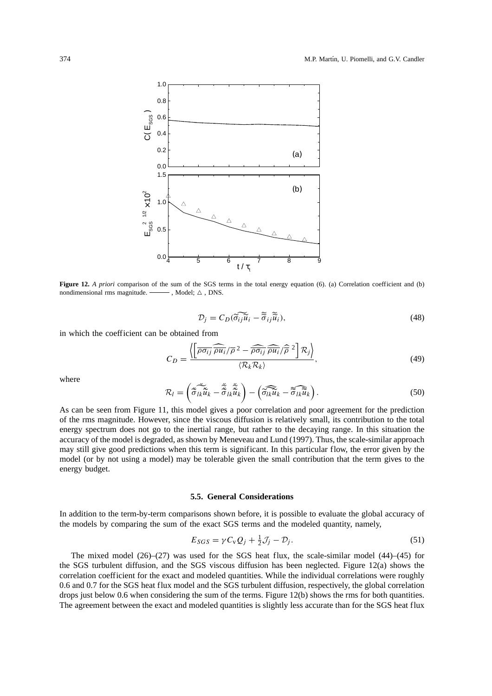

**Figure 12.** *A priori* comparison of the sum of the SGS terms in the total energy equation (6). (a) Correlation coefficient and (b) nondimensional rms magnitude.  $\longrightarrow$ , Model;  $\triangle$ , DNS.

$$
\mathcal{D}_j = C_D(\widetilde{\sigma_{ij}}\widetilde{u}_i - \widetilde{\sigma}_{ij}\widetilde{u}_i),\tag{48}
$$

in which the coefficient can be obtained from

$$
C_D = \frac{\left\langle \left[ \overline{\rho \sigma_{ij}} \overline{\rho u_i} / \overline{\rho}^2 - \overline{\rho \sigma_{ij}} \overline{\rho u_i} / \overline{\rho}^2 \right] R_j \right\rangle}{\left\langle R_k R_k \right\rangle},\tag{49}
$$

where

$$
\mathcal{R}_l = \left( \check{\tilde{\sigma}_{lk}} \check{\tilde{u}}_k - \check{\tilde{\tilde{\sigma}}}_{lk} \tilde{\tilde{u}}_k \right) - \left( \widetilde{\tilde{\sigma}_{lk}} \tilde{u}_k - \widetilde{\tilde{\sigma}_{lk}} \tilde{u}_k \right). \tag{50}
$$

As can be seen from Figure 11, this model gives a poor correlation and poor agreement for the prediction of the rms magnitude. However, since the viscous diffusion is relatively small, its contribution to the total energy spectrum does not go to the inertial range, but rather to the decaying range. In this situation the accuracy of the model is degraded, as shown by Meneveau and Lund (1997). Thus, the scale-similar approach may still give good predictions when this term is significant. In this particular flow, the error given by the model (or by not using a model) may be tolerable given the small contribution that the term gives to the energy budget.

#### **5.5. General Considerations**

In addition to the term-by-term comparisons shown before, it is possible to evaluate the global accuracy of the models by comparing the sum of the exact SGS terms and the modeled quantity, namely,

$$
E_{SGS} = \gamma C_{\rm v} Q_j + \frac{1}{2} \mathcal{J}_j - \mathcal{D}_j. \tag{51}
$$

The mixed model  $(26)$ – $(27)$  was used for the SGS heat flux, the scale-similar model  $(44)$ – $(45)$  for the SGS turbulent diffusion, and the SGS viscous diffusion has been neglected. Figure 12(a) shows the correlation coefficient for the exact and modeled quantities. While the individual correlations were roughly 0.6 and 0.7 for the SGS heat flux model and the SGS turbulent diffusion, respectively, the global correlation drops just below 0.6 when considering the sum of the terms. Figure 12(b) shows the rms for both quantities. The agreement between the exact and modeled quantities is slightly less accurate than for the SGS heat flux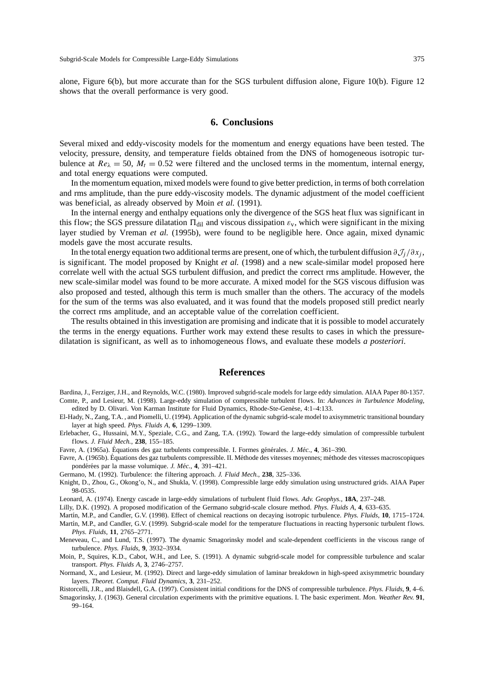alone, Figure 6(b), but more accurate than for the SGS turbulent diffusion alone, Figure 10(b). Figure 12 shows that the overall performance is very good.

## **6. Conclusions**

Several mixed and eddy-viscosity models for the momentum and energy equations have been tested. The velocity, pressure, density, and temperature fields obtained from the DNS of homogeneous isotropic turbulence at  $Re_{\lambda} = 50$ ,  $M_t = 0.52$  were filtered and the unclosed terms in the momentum, internal energy, and total energy equations were computed.

In the momentum equation, mixed models were found to give better prediction, in terms of both correlation and rms amplitude, than the pure eddy-viscosity models. The dynamic adjustment of the model coefficient was beneficial, as already observed by Moin *et al.* (1991).

In the internal energy and enthalpy equations only the divergence of the SGS heat flux was significant in this flow; the SGS pressure dilatation  $\Pi_{\text{dil}}$  and viscous dissipation  $\varepsilon_{v}$ , which were significant in the mixing layer studied by Vreman *et al.* (1995b), were found to be negligible here. Once again, mixed dynamic models gave the most accurate results.

In the total energy equation two additional terms are present, one of which, the turbulent diffusion  $\partial \mathcal{J}_i/\partial x_i$ , is significant. The model proposed by Knight *et al.* (1998) and a new scale-similar model proposed here correlate well with the actual SGS turbulent diffusion, and predict the correct rms amplitude. However, the new scale-similar model was found to be more accurate. A mixed model for the SGS viscous diffusion was also proposed and tested, although this term is much smaller than the others. The accuracy of the models for the sum of the terms was also evaluated, and it was found that the models proposed still predict nearly the correct rms amplitude, and an acceptable value of the correlation coefficient.

The results obtained in this investigation are promising and indicate that it is possible to model accurately the terms in the energy equations. Further work may extend these results to cases in which the pressuredilatation is significant, as well as to inhomogeneous flows, and evaluate these models *a posteriori*.

#### **References**

Bardina, J., Ferziger, J.H., and Reynolds, W.C. (1980). Improved subgrid-scale models for large eddy simulation. AIAA Paper 80-1357. Comte, P., and Lesieur, M. (1998). Large-eddy simulation of compressible turbulent flows. In: *Advances in Turbulence Modeling*, edited by D. Olivari. Von Karman Institute for Fluid Dynamics, Rhode-Ste-Genèse, 4:1-4:133.

El-Hady, N., Zang, T.A. , and Piomelli, U. (1994). Application of the dynamic subgrid-scale model to axisymmetric transitional boundary layer at high speed. *Phys. Fluids A*, **6**, 1299–1309.

Erlebacher, G., Hussaini, M.Y., Speziale, C.G., and Zang, T.A. (1992). Toward the large-eddy simulation of compressible turbulent flows. *J. Fluid Mech.*, **238**, 155–185.

Favre, A. (1965a). Équations des gaz turbulents compressible. I. Formes générales. *J. Méc.*, 4, 361-390.

Favre, A. (1965b). Équations des gaz turbulents compressible. II. Méthode des vitesses moyennes; méthode des vitesses macroscopiques pondérées par la masse volumique. *J. Méc.*, 4, 391-421.

Germano, M. (1992). Turbulence: the filtering approach. *J. Fluid Mech.*, **238**, 325–336.

Knight, D., Zhou, G., Okong'o, N., and Shukla, V. (1998). Compressible large eddy simulation using unstructured grids. AIAA Paper 98-0535.

Leonard, A. (1974). Energy cascade in large-eddy simulations of turbulent fluid flows. *Adv. Geophys.*, **18A**, 237–248.

Lilly, D.K. (1992). A proposed modification of the Germano subgrid-scale closure method. *Phys. Fluids A*, **4**, 633–635.

Mart´ın, M.P., and Candler, G.V. (1998). Effect of chemical reactions on decaying isotropic turbulence. *Phys. Fluids*, **10**, 1715–1724. Martín, M.P., and Candler, G.V. (1999). Subgrid-scale model for the temperature fluctuations in reacting hypersonic turbulent flows.

*Phys. Fluids*, **11**, 2765–2771.

Meneveau, C., and Lund, T.S. (1997). The dynamic Smagorinsky model and scale-dependent coefficients in the viscous range of turbulence. *Phys. Fluids*, **9**, 3932–3934.

Moin, P., Squires, K.D., Cabot, W.H., and Lee, S. (1991). A dynamic subgrid-scale model for compressible turbulence and scalar transport. *Phys. Fluids A*, **3**, 2746–2757.

Normand, X., and Lesieur, M. (1992). Direct and large-eddy simulation of laminar breakdown in high-speed axisymmetric boundary layers. *Theoret. Comput. Fluid Dynamics*, **3**, 231–252.

Ristorcelli, J.R., and Blaisdell, G.A. (1997). Consistent initial conditions for the DNS of compressible turbulence. *Phys. Fluids*, **9**, 4–6. Smagorinsky, J. (1963). General circulation experiments with the primitive equations. I. The basic experiment. *Mon. Weather Rev.* **91**, 99–164.